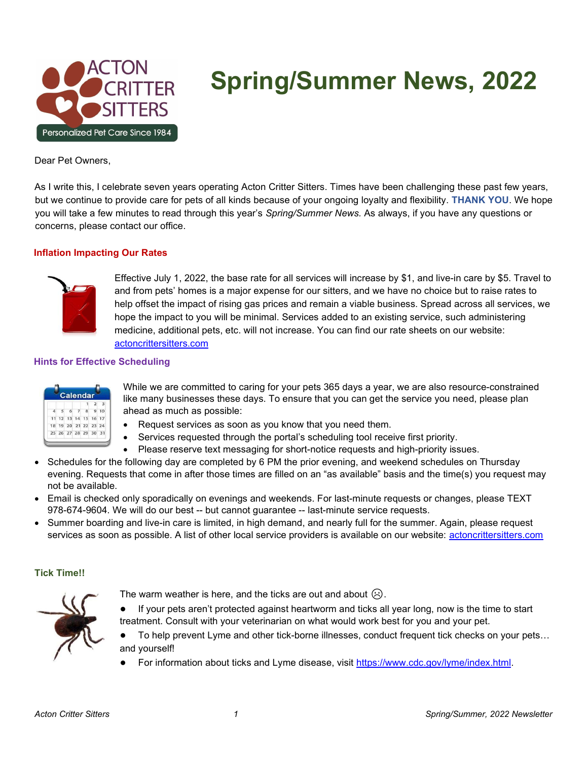

# Spring/Summer News, 2022

Dear Pet Owners,

As I write this, I celebrate seven years operating Acton Critter Sitters. Times have been challenging these past few years, but we continue to provide care for pets of all kinds because of your ongoing loyalty and flexibility. THANK YOU. We hope you will take a few minutes to read through this year's Spring/Summer News. As always, if you have any questions or concerns, please contact our office.

## Inflation Impacting Our Rates



Effective July 1, 2022, the base rate for all services will increase by \$1, and live-in care by \$5. Travel to and from pets' homes is a major expense for our sitters, and we have no choice but to raise rates to help offset the impact of rising gas prices and remain a viable business. Spread across all services, we hope the impact to you will be minimal. Services added to an existing service, such administering medicine, additional pets, etc. will not increase. You can find our rate sheets on our website: actoncrittersitters.com

## Hints for Effective Scheduling

|    |    |       |    |          | $\overline{2}$ |    |
|----|----|-------|----|----------|----------------|----|
|    |    | Á     |    | 8        |                | 10 |
|    |    | 12 13 |    | 14 15 16 |                | 17 |
| 18 | 19 |       | 21 | 22 23 24 |                |    |

While we are committed to caring for your pets 365 days a year, we are also resource-constrained like many businesses these days. To ensure that you can get the service you need, please plan ahead as much as possible:

- Request services as soon as you know that you need them.
	- Services requested through the portal's scheduling tool receive first priority.
- Please reserve text messaging for short-notice requests and high-priority issues.
- Schedules for the following day are completed by 6 PM the prior evening, and weekend schedules on Thursday evening. Requests that come in after those times are filled on an "as available" basis and the time(s) you request may not be available.
- Email is checked only sporadically on evenings and weekends. For last-minute requests or changes, please TEXT 978-674-9604. We will do our best -- but cannot guarantee -- last-minute service requests.
- Summer boarding and live-in care is limited, in high demand, and nearly full for the summer. Again, please request services as soon as possible. A list of other local service providers is available on our website: actoncrittersitters.com

# Tick Time!!



The warm weather is here, and the ticks are out and about  $\odot$ .

- If your pets aren't protected against heartworm and ticks all year long, now is the time to start treatment. Consult with your veterinarian on what would work best for you and your pet.
- To help prevent Lyme and other tick-borne illnesses, conduct frequent tick checks on your pets... and yourself!
- For information about ticks and Lyme disease, visit https://www.cdc.gov/lyme/index.html.